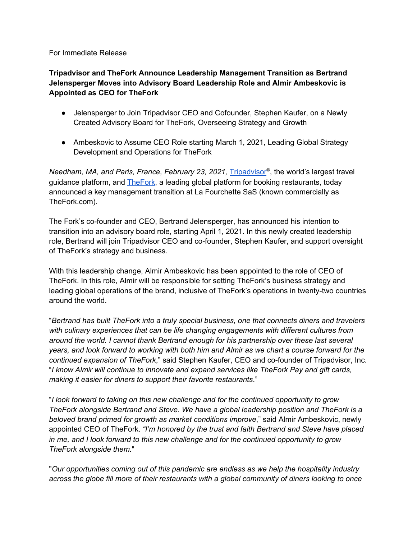## For Immediate Release

## **Tripadvisor and TheFork Announce Leadership Management Transition as Bertrand Jelensperger Moves into Advisory Board Leadership Role and Almir Ambeskovic is Appointed as CEO for TheFork**

- Jelensperger to Join Tripadvisor CEO and Cofounder, Stephen Kaufer, on a Newly Created Advisory Board for TheFork, Overseeing Strategy and Growth
- Ambeskovic to Assume CEO Role starting March 1, 2021, Leading Global Strategy Development and Operations for TheFork

*Needham, MA, and Paris, France, February 23, 2021,* [Tripadvisor](https://www.tripadvisor.com/) ® , the world's largest travel guidance platform, and **TheFork**, a leading global platform for booking restaurants, today announced a key management transition at La Fourchette SaS (known commercially as TheFork.com).

The Fork's co-founder and CEO, Bertrand Jelensperger, has announced his intention to transition into an advisory board role, starting April 1, 2021. In this newly created leadership role, Bertrand will join Tripadvisor CEO and co-founder, Stephen Kaufer, and support oversight of TheFork's strategy and business.

With this leadership change, Almir Ambeskovic has been appointed to the role of CEO of TheFork. In this role, Almir will be responsible for setting TheFork's business strategy and leading global operations of the brand, inclusive of TheFork's operations in twenty-two countries around the world.

"*Bertrand has built TheFork into a truly special business, one that connects diners and travelers with culinary experiences that can be life changing engagements with different cultures from around the world. I cannot thank Bertrand enough for his partnership over these last several* years, and look forward to working with both him and Almir as we chart a course forward for the *continued expansion of TheFork*," said Stephen Kaufer, CEO and co-founder of Tripadvisor, Inc. "*I know Almir will continue to innovate and expand services like TheFork Pay and gift cards, making it easier for diners to support their favorite restaurants*."

"*I look forward to taking on this new challenge and for the continued opportunity to grow TheFork alongside Bertrand and Steve. We have a global leadership position and TheFork is a beloved brand primed for growth as market conditions improve*," said Almir Ambeskovic, newly appointed CEO of TheFork. *"I'm honored by the trust and faith Bertrand and Steve have placed in me, and I look forward to this new challenge and for the continued opportunity to grow TheFork alongside them.*"

"*Our opportunities coming out of this pandemic are endless as we help the hospitality industry across the globe fill more of their restaurants with a global community of diners looking to once*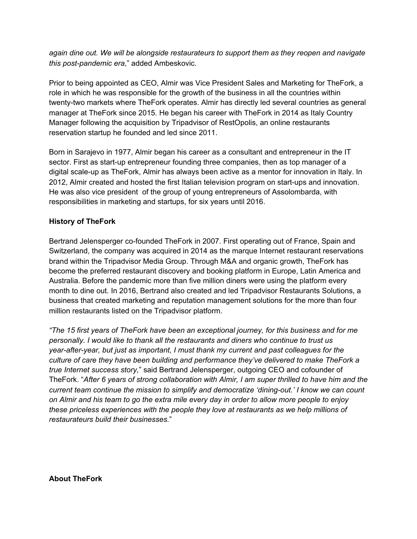*again dine out. We will be alongside restaurateurs to support them as they reopen and navigate this post-pandemic era*," added Ambeskovic.

Prior to being appointed as CEO, Almir was Vice President Sales and Marketing for TheFork, a role in which he was responsible for the growth of the business in all the countries within twenty-two markets where TheFork operates. Almir has directly led several countries as general manager at TheFork since 2015. He began his career with TheFork in 2014 as Italy Country Manager following the acquisition by Tripadvisor of RestOpolis, an online restaurants reservation startup he founded and led since 2011.

Born in Sarajevo in 1977, Almir began his career as a consultant and entrepreneur in the IT sector. First as start-up entrepreneur founding three companies, then as top manager of a digital scale-up as TheFork, Almir has always been active as a mentor for innovation in Italy. In 2012, Almir created and hosted the first Italian television program on start-ups and innovation. He was also vice president of the group of young entrepreneurs of Assolombarda, with responsibilities in marketing and startups, for six years until 2016.

## **History of TheFork**

Bertrand Jelensperger co-founded TheFork in 2007. First operating out of France, Spain and Switzerland, the company was acquired in 2014 as the marque Internet restaurant reservations brand within the Tripadvisor Media Group. Through M&A and organic growth, TheFork has become the preferred restaurant discovery and booking platform in Europe, Latin America and Australia. Before the pandemic more than five million diners were using the platform every month to dine out. In 2016, Bertrand also created and led Tripadvisor Restaurants Solutions, a business that created marketing and reputation management solutions for the more than four million restaurants listed on the Tripadvisor platform.

*"The 15 first years of TheFork have been an exceptional journey, for this business and for me personally. I would like to thank all the restaurants and diners who continue to trust us year-after-year, but just as important, I must thank my current and past colleagues for the culture of care they have been building and performance they've delivered to make TheFork a true Internet success story,*" said Bertrand Jelensperger, outgoing CEO and cofounder of TheFork. "*After 6 years of strong collaboration with Almir, I am super thrilled to have him and the current team continue the mission to simplify and democratize 'dining-out.' I know we can count* on Almir and his team to go the extra mile every day in order to allow more people to enjoy *these priceless experiences with the people they love at restaurants as we help millions of restaurateurs build their businesses.*"